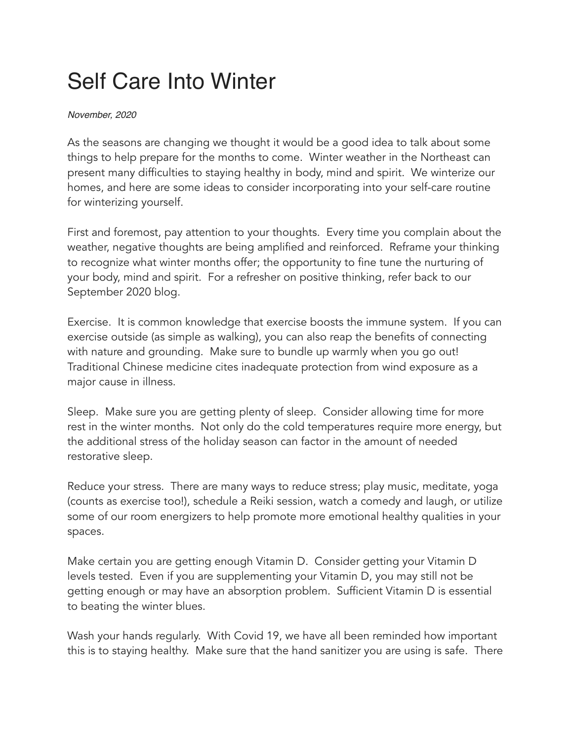## Self Care Into Winter

## *November, 2020*

As the seasons are changing we thought it would be a good idea to talk about some things to help prepare for the months to come. Winter weather in the Northeast can present many difficulties to staying healthy in body, mind and spirit. We winterize our homes, and here are some ideas to consider incorporating into your self-care routine for winterizing yourself.

First and foremost, pay attention to your thoughts. Every time you complain about the weather, negative thoughts are being amplified and reinforced. Reframe your thinking to recognize what winter months offer; the opportunity to fine tune the nurturing of your body, mind and spirit. For a refresher on positive thinking, refer back to our September 2020 blog.

Exercise. It is common knowledge that exercise boosts the immune system. If you can exercise outside (as simple as walking), you can also reap the benefits of connecting with nature and grounding. Make sure to bundle up warmly when you go out! Traditional Chinese medicine cites inadequate protection from wind exposure as a major cause in illness.

Sleep. Make sure you are getting plenty of sleep. Consider allowing time for more rest in the winter months. Not only do the cold temperatures require more energy, but the additional stress of the holiday season can factor in the amount of needed restorative sleep.

Reduce your stress. There are many ways to reduce stress; play music, meditate, yoga (counts as exercise too!), schedule a Reiki session, watch a comedy and laugh, or utilize some of our room energizers to help promote more emotional healthy qualities in your spaces.

Make certain you are getting enough Vitamin D. Consider getting your Vitamin D levels tested. Even if you are supplementing your Vitamin D, you may still not be getting enough or may have an absorption problem. Sufficient Vitamin D is essential to beating the winter blues.

Wash your hands regularly. With Covid 19, we have all been reminded how important this is to staying healthy. Make sure that the hand sanitizer you are using is safe. There